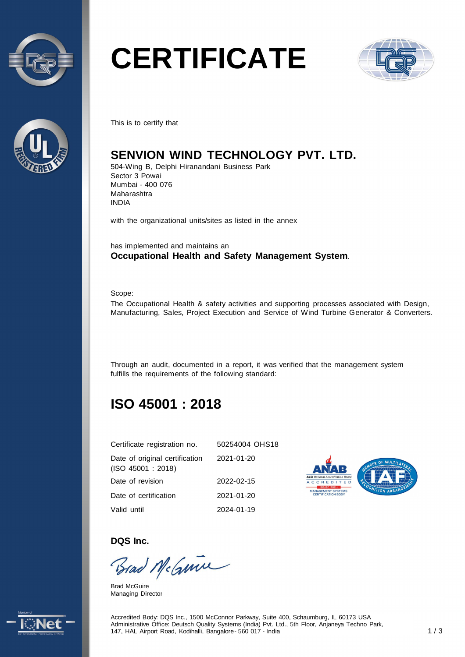



# **CERTIFICATE**



This is to certify that

## **SENVION WIND TECHNOLOGY PVT. LTD.**

504-Wing B, Delphi Hiranandani Business Park Sector 3 Powai Mumbai - 400 076 Maharashtra INDIA

with the organizational units/sites as listed in the annex

has implemented and maintains an **Occupational Health and Safety Management System**.

Scope:

The Occupational Health & safety activities and supporting processes associated with Design, Manufacturing, Sales, Project Execution and Service of Wind Turbine Generator & Converters.

Through an audit, documented in a report, it was verified that the management system fulfills the requirements of the following standard:

# **ISO 45001 : 2018**

| Certificate registration no.                         | 50254004 OHS18 |
|------------------------------------------------------|----------------|
| Date of original certification<br>(ISO 45001 : 2018) | 2021-01-20     |
| Date of revision                                     | 2022-02-15     |
| Date of certification                                | 2021-01-20     |
| Valid until                                          | 2024-01-19     |



**DQS Inc.** 

Brad McGuine

Brad McGuire Managing Director



Accredited Body: DQS Inc., 1500 McConnor Parkway, Suite 400, Schaumburg, IL 60173 USA Administrative Office: Deutsch Quality Systems (India) Pvt. Ltd., 5th Floor, Anjaneya Techno Park, 147, HAL Airport Road, Kodihalli, Bangalore - 560 017 - India 1 / 3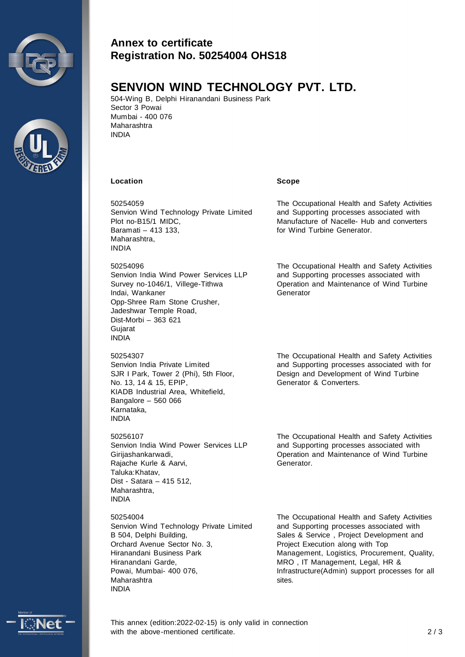



#### **Annex to certificate Registration No. 50254004 OHS18**

### **SENVION WIND TECHNOLOGY PVT. LTD.**

504-Wing B, Delphi Hiranandani Business Park Sector 3 Powai Mumbai - 400 076 Maharashtra INDIA

#### **Location Scope**

50254059 Senvion Wind Technology Private Limited Plot no-B15/1 MIDC, Baramati – 413 133, Maharashtra, INDIA

50254096 Senvion India Wind Power Services LLP Survey no-1046/1, Villege-Tithwa Indai, Wankaner Opp-Shree Ram Stone Crusher, Jadeshwar Temple Road, Dist-Morbi – 363 621 **Gujarat** INDIA

50254307

Senvion India Private Limited SJR I Park, Tower 2 (Phi), 5th Floor, No. 13, 14 & 15, EPIP, KIADB Industrial Area, Whitefield, Bangalore – 560 066 Karnataka, INDIA

50256107 Senvion India Wind Power Services LLP Girijashankarwadi, Rajache Kurle & Aarvi, Taluka:Khatav, Dist - Satara – 415 512, Maharashtra, INDIA

50254004 Senvion Wind Technology Private Limited B 504, Delphi Building, Orchard Avenue Sector No. 3, Hiranandani Business Park Hiranandani Garde, Powai, Mumbai- 400 076, Maharashtra INDIA

The Occupational Health and Safety Activities and Supporting processes associated with Manufacture of Nacelle- Hub and converters for Wind Turbine Generator.

The Occupational Health and Safety Activities and Supporting processes associated with Operation and Maintenance of Wind Turbine **Generator** 

The Occupational Health and Safety Activities and Supporting processes associated with for Design and Development of Wind Turbine Generator & Converters.

The Occupational Health and Safety Activities and Supporting processes associated with Operation and Maintenance of Wind Turbine Generator.

The Occupational Health and Safety Activities and Supporting processes associated with Sales & Service , Project Development and Project Execution along with Top Management, Logistics, Procurement, Quality, MRO , IT Management, Legal, HR & Infrastructure(Admin) support processes for all sites.



This annex (edition:2022-02-15) is only valid in connection with the above-mentioned certificate.  $2/3$